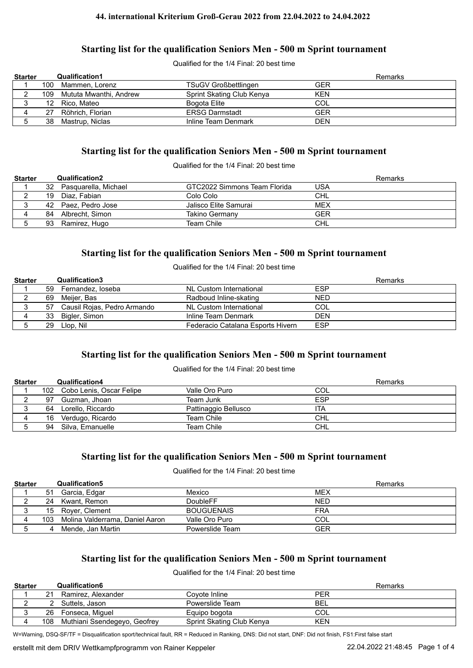#### **44. international Kriterium Groß-Gerau 2022 from 22.04.2022 to 24.04.2022**

### **Starting list for the qualification Seniors Men - 500 m Sprint tournament**

Qualified for the 1/4 Final: 20 best time

| <b>Starter</b> |     | <b>Qualification1</b>  |                             | Remarks    |  |
|----------------|-----|------------------------|-----------------------------|------------|--|
|                | 100 | Mammen, Lorenz         | <b>TSuGV Großbettlingen</b> | GER        |  |
|                | 109 | Mututa Mwanthi, Andrew | Sprint Skating Club Kenya   | <b>KEN</b> |  |
|                | 12  | Rico, Mateo            | Bogota Elite                | COL        |  |
|                | 27  | Röhrich, Florian       | <b>ERSG Darmstadt</b>       | GER        |  |
|                | 38  | Mastrup, Niclas        | Inline Team Denmark         | DEN        |  |

#### **Starting list for the qualification Seniors Men - 500 m Sprint tournament**

Qualified for the 1/4 Final: 20 best time

| <b>Starter</b> |    | Qualification2       |                              | Remarks    |
|----------------|----|----------------------|------------------------------|------------|
|                | 32 | Pasquarella, Michael | GTC2022 Simmons Team Florida | USA        |
|                | 19 | Diaz. Fabian         | Colo Colo                    | <b>CHL</b> |
|                |    | 42 Paez. Pedro Jose  | Jalisco Elite Samurai        | <b>MEX</b> |
|                | 84 | Albrecht, Simon      | Takino Germany               | GFR        |
|                | 93 | Ramirez, Hugo        | Team Chile                   | <b>CHL</b> |

### **Starting list for the qualification Seniors Men - 500 m Sprint tournament**

Qualified for the 1/4 Final: 20 best time

| <b>Starter</b> |    | <b>Qualification3</b>       |                                   | Remarks    |
|----------------|----|-----------------------------|-----------------------------------|------------|
|                | 59 | Fernandez, loseba           | NL Custom International           | <b>ESP</b> |
|                | 69 | Meijer, Bas                 | Radboud Inline-skating            | <b>NED</b> |
|                | 57 | Causil Rojas, Pedro Armando | NL Custom International           | COL        |
|                | 33 | Bigler, Simon               | Inline Team Denmark               | DEN        |
|                | 29 | Llop. Nil                   | Federacio Catalana Esports Hivern | <b>ESP</b> |

# **Starting list for the qualification Seniors Men - 500 m Sprint tournament**

#### Qualified for the 1/4 Final: 20 best time

| <b>Starter</b> |    | Qualification4               |                      | Remarks    |
|----------------|----|------------------------------|----------------------|------------|
|                |    | 102 Cobo Lenis, Oscar Felipe | Valle Oro Puro       | COL        |
|                | 97 | Guzman, Jhoan                | Team Junk            | <b>ESP</b> |
|                | 64 | Lorello, Riccardo            | Pattinaggio Bellusco | ITA        |
|                | 16 | Verdugo, Ricardo             | Team Chile           | CHL        |
|                | 94 | Silva, Emanuelle             | Team Chile           | <b>CHL</b> |

#### **Starting list for the qualification Seniors Men - 500 m Sprint tournament**

Qualified for the 1/4 Final: 20 best time

| <b>Starter</b> |     | Qualification5                  |                   | <b>Remarks</b> |
|----------------|-----|---------------------------------|-------------------|----------------|
|                | 51  | Garcia, Edgar                   | Mexico            | <b>MEX</b>     |
|                | 24  | Kwant. Remon                    | DoubleFF          | <b>NED</b>     |
|                | 15  | Rover, Clement                  | <b>BOUGUENAIS</b> | FRA            |
|                | 103 | Molina Valderrama, Daniel Aaron | Valle Oro Puro    | COL            |
|                | 4   | Mende. Jan Martin               | Powerslide Team   | GER            |

# **Starting list for the qualification Seniors Men - 500 m Sprint tournament**

#### Qualified for the 1/4 Final: 20 best time

| <b>Starter</b> |     | Qualification6               |                           | Remarks    |
|----------------|-----|------------------------------|---------------------------|------------|
|                | 21  | Ramirez, Alexander           | Covote Inline             | PER        |
|                |     | Suttels. Jason               | Powerslide Team           | BEL        |
|                | 26  | Fonseca, Miquel              | Equipo bogota             | COL        |
|                | 108 | Muthiani Ssendegeyo, Geofrey | Sprint Skating Club Kenya | <b>KEN</b> |

W=Warning, DSQ-SF/TF = Disqualification sport/technical fault, RR = Reduced in Ranking, DNS: Did not start, DNF: Did not finish, FS1:First false start

erstellt mit dem DRIV Wettkampfprogramm von Rainer Keppeler 22.04.2022 21:48:45 Page 1 of 4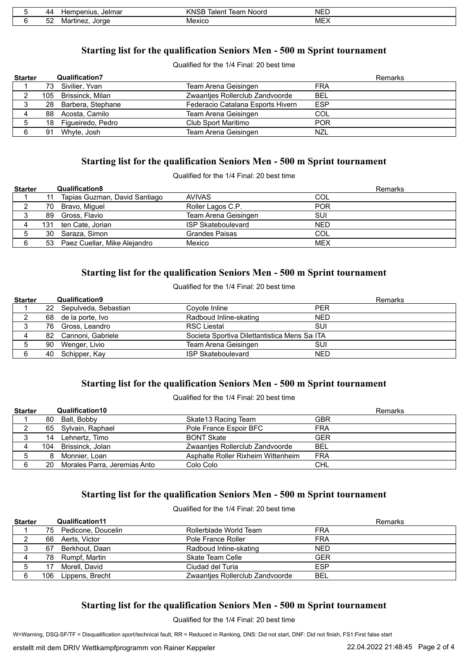| 40                      | Jelmar<br>าpenius<br>10 r | <b>Noord</b><br><br>rear<br><b>GIGLI</b> | $\overline{\phantom{0}}$<br>NE. |
|-------------------------|---------------------------|------------------------------------------|---------------------------------|
| - -<br>- -<br>IM:<br>ےت | lorar                     | $  -$                                    | <b>MEX</b>                      |

# **Starting list for the qualification Seniors Men - 500 m Sprint tournament**

Qualified for the 1/4 Final: 20 best time

| <b>Starter</b> |    | <b>Qualification7</b> |                                   | Remarks    |
|----------------|----|-----------------------|-----------------------------------|------------|
|                |    | 73 Sivilier, Yvan     | Team Arena Geisingen              | <b>FRA</b> |
|                |    | 105 Brissinck, Milan  | Zwaantjes Rollerclub Zandvoorde   | <b>BEL</b> |
|                |    | 28 Barbera, Stephane  | Federacio Catalana Esports Hivern | <b>ESP</b> |
|                |    | 88 Acosta, Camilo     | Team Arena Geisingen              | COL        |
|                |    | 18 Figueiredo, Pedro  | Club Sport Maritimo               | <b>POR</b> |
|                | 91 | Whyte, Josh           | Team Arena Geisingen              | NZL        |

### **Starting list for the qualification Seniors Men - 500 m Sprint tournament**

Qualified for the 1/4 Final: 20 best time

| <b>Starter</b> |    | <b>Qualification8</b>           |                           | Remarks    |
|----------------|----|---------------------------------|---------------------------|------------|
|                | 11 | Tapias Guzman, David Santiago   | AVIVAS                    | COL        |
|                | 70 | Bravo, Miguel                   | Roller Lagos C.P.         | <b>POR</b> |
|                | 89 | Gross, Flavio                   | Team Arena Geisingen      | <b>SUI</b> |
|                |    | 131 ten Cate, Jorian            | <b>ISP Skateboulevard</b> | <b>NED</b> |
|                | 30 | Saraza, Simon                   | Grandes Paisas            | COL        |
|                |    | 53 Paez Cuellar, Mike Alejandro | Mexico                    | <b>MEX</b> |

# **Starting list for the qualification Seniors Men - 500 m Sprint tournament**

Qualified for the 1/4 Final: 20 best time

| <b>Starter</b> |    | <b>Qualification9</b>   |                                               | Remarks    |
|----------------|----|-------------------------|-----------------------------------------------|------------|
|                |    | 22 Sepulveda, Sebastian | Covote Inline                                 | <b>PER</b> |
|                |    | 68 de la porte, Ivo     | Radboud Inline-skating                        | <b>NED</b> |
|                |    | 76 Gross, Leandro       | <b>RSC Liestal</b>                            | SUI        |
|                |    | 82 Cannoni, Gabriele    | Societa Sportiva Dilettantistica Mens Sai ITA |            |
|                | 90 | Wenger, Livio           | Team Arena Geisingen                          | SUI        |
|                |    | 40 Schipper, Kay        | <b>ISP Skateboulevard</b>                     | <b>NED</b> |

### **Starting list for the qualification Seniors Men - 500 m Sprint tournament**

Qualified for the 1/4 Final: 20 best time

| <b>Starter</b> |    | Qualification10              |                                    | Remarks    |
|----------------|----|------------------------------|------------------------------------|------------|
|                |    | 80 Ball, Bobby               | Skate 13 Racing Team               | <b>GBR</b> |
|                |    | 65 Sylvain, Raphael          | Pole France Espoir BFC             | <b>FRA</b> |
|                | 14 | Lehnertz, Timo               | <b>BONT Skate</b>                  | <b>GER</b> |
|                |    | 104 Brissinck, Jolan         | Zwaantjes Rollerclub Zandvoorde    | BEL        |
| 5              | 8  | Monnier, Loan                | Asphalte Roller Rixheim Wittenheim | <b>FRA</b> |
|                | 20 | Morales Parra, Jeremias Anto | Colo Colo                          | CHL        |

# **Starting list for the qualification Seniors Men - 500 m Sprint tournament**

Qualified for the 1/4 Final: 20 best time

| <b>Starter</b> |    | <b>Qualification11</b> |                                 | Remarks    |
|----------------|----|------------------------|---------------------------------|------------|
|                |    | 75 Pedicone, Doucelin  | Rollerblade World Team          | <b>FRA</b> |
|                |    | 66 Aerts, Victor       | Pole France Roller              | <b>FRA</b> |
|                | 67 | Berkhout, Daan         | Radboud Inline-skating          | <b>NED</b> |
|                |    | 78 Rumpf, Martin       | Skate Team Celle                | GER        |
|                | 17 | Morell. David          | Ciudad del Turia                | <b>ESP</b> |
|                |    | 106 Lippens, Brecht    | Zwaantjes Rollerclub Zandvoorde | BEL        |

# **Starting list for the qualification Seniors Men - 500 m Sprint tournament**

Qualified for the 1/4 Final: 20 best time

W=Warning, DSQ-SF/TF = Disqualification sport/technical fault, RR = Reduced in Ranking, DNS: Did not start, DNF: Did not finish, FS1:First false start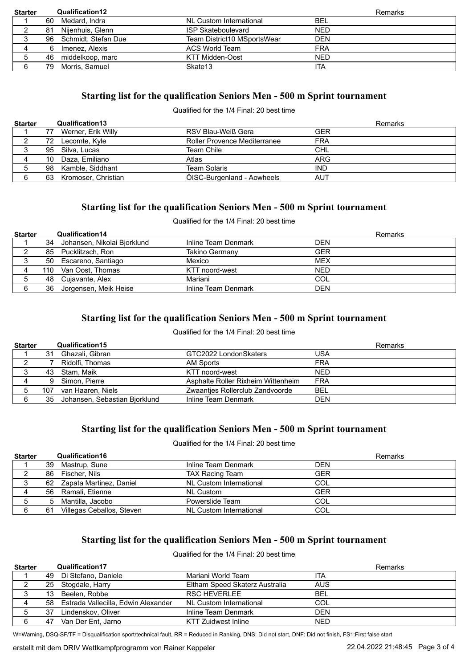| <b>Starter</b> |    | <b>Qualification12</b> |                             |            | Remarks |
|----------------|----|------------------------|-----------------------------|------------|---------|
|                | 60 | Medard, Indra          | NL Custom International     | BEL        |         |
|                | 81 | Nijenhuis, Glenn       | <b>ISP Skateboulevard</b>   | <b>NED</b> |         |
|                |    | 96 Schmidt, Stefan Due | Team District10 MSportsWear | <b>DEN</b> |         |
|                | 6  | Imenez, Alexis         | ACS World Team              | <b>FRA</b> |         |
|                | 46 | middelkoop, marc       | <b>KTT Midden-Oost</b>      | <b>NED</b> |         |
|                | 79 | Morris, Samuel         | Skate <sub>13</sub>         | <b>ITA</b> |         |

# **Starting list for the qualification Seniors Men - 500 m Sprint tournament**

#### Qualified for the 1/4 Final: 20 best time

| <b>Starter</b> |    | Qualification13     |                                     |            | Remarks |
|----------------|----|---------------------|-------------------------------------|------------|---------|
|                | 77 | Werner, Erik Willy  | RSV Blau-Weiß Gera                  | <b>GER</b> |         |
|                | 72 | Lecomte, Kyle       | <b>Roller Provence Mediterranee</b> | <b>FRA</b> |         |
| J              | 95 | Silva. Lucas        | Team Chile                          | CHL        |         |
| 4              | 10 | Daza, Emiliano      | Atlas                               | ARG        |         |
|                | 98 | Kamble, Siddhant    | <b>Team Solaris</b>                 | <b>IND</b> |         |
| 6              | 63 | Kromoser, Christian | ÖISC-Burgenland - Aowheels          | <b>AUT</b> |         |

# **Starting list for the qualification Seniors Men - 500 m Sprint tournament**

### Qualified for the 1/4 Final: 20 best time

| <b>Starter</b> |    | <b>Qualification14</b>      |                     | <b>Remarks</b> |  |
|----------------|----|-----------------------------|---------------------|----------------|--|
|                | 34 | Johansen, Nikolai Bjorklund | Inline Team Denmark | <b>DEN</b>     |  |
|                |    | 85 Pucklitzsch, Ron         | Takino Germany      | <b>GER</b>     |  |
|                |    | 50 Escareno, Santiago       | Mexico              | <b>MEX</b>     |  |
|                |    | 110 Van Oost, Thomas        | KTT noord-west      | <b>NED</b>     |  |
|                | 48 | Cujavante, Alex             | Mariani             | COL            |  |
| 6              | 36 | Jorgensen, Meik Heise       | Inline Team Denmark | <b>DEN</b>     |  |

# **Starting list for the qualification Seniors Men - 500 m Sprint tournament**

### Qualified for the 1/4 Final: 20 best time

| <b>Starter</b> |     | Qualification15               |                                    |            | Remarks |
|----------------|-----|-------------------------------|------------------------------------|------------|---------|
|                | 31  | Ghazali, Gibran               | GTC2022 LondonSkaters              | USA        |         |
|                |     | Ridolfi. Thomas               | AM Sports                          | FRA        |         |
|                | 43  | Stam. Maik                    | KTT noord-west                     | <b>NED</b> |         |
| 4              | 9   | Simon, Pierre                 | Asphalte Roller Rixheim Wittenheim | FRA        |         |
|                | 107 | van Haaren, Niels             | Zwaantjes Rollerclub Zandvoorde    | BEL        |         |
|                | 35  | Johansen, Sebastian Bjorklund | Inline Team Denmark                | DEN        |         |

# **Starting list for the qualification Seniors Men - 500 m Sprint tournament**

#### Qualified for the 1/4 Final: 20 best time

| <b>Starter</b> |    | Qualification16           |                         | Remarks    |
|----------------|----|---------------------------|-------------------------|------------|
|                | 39 | Mastrup, Sune             | Inline Team Denmark     | DEN        |
|                | 86 | Fischer, Nils             | TAX Racing Team         | <b>GER</b> |
|                | 62 | Zapata Martinez, Daniel   | NL Custom International | COL        |
| 4              |    | 56 Ramali, Etienne        | <b>NL Custom</b>        | <b>GER</b> |
|                | 5  | Mantilla, Jacobo          | Powerslide Team         | COL        |
|                | 61 | Villegas Ceballos, Steven | NL Custom International | COL        |

# **Starting list for the qualification Seniors Men - 500 m Sprint tournament**

### Qualified for the 1/4 Final: 20 best time

| <b>Starter</b> |    | <b>Qualification17</b>                 |                                |            | Remarks |
|----------------|----|----------------------------------------|--------------------------------|------------|---------|
|                |    | 49 Di Stefano, Daniele                 | Mariani World Team             | ita        |         |
|                |    | 25 Stogdale, Harry                     | Eltham Speed Skaterz Australia | <b>AUS</b> |         |
| 3              | 13 | Beelen, Robbe                          | <b>RSC HEVERLEE</b>            | BEL        |         |
| 4              |    | 58 Estrada Vallecilla, Edwin Alexander | NL Custom International        | COL        |         |
|                | 37 | Lindenskov, Oliver                     | Inline Team Denmark            | <b>DEN</b> |         |
|                | 47 | Van Der Ent, Jarno                     | <b>KTT Zuidwest Inline</b>     | <b>NED</b> |         |

W=Warning, DSQ-SF/TF = Disqualification sport/technical fault, RR = Reduced in Ranking, DNS: Did not start, DNF: Did not finish, FS1:First false start

erstellt mit dem DRIV Wettkampfprogramm von Rainer Keppeler 22.04.2022 21:48:45 Page 3 of 4